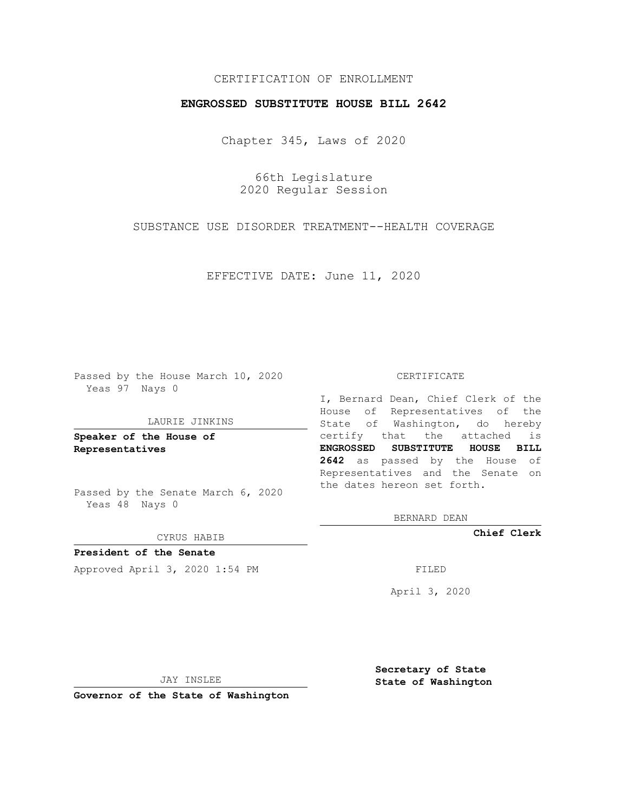## CERTIFICATION OF ENROLLMENT

## **ENGROSSED SUBSTITUTE HOUSE BILL 2642**

Chapter 345, Laws of 2020

66th Legislature 2020 Regular Session

SUBSTANCE USE DISORDER TREATMENT--HEALTH COVERAGE

EFFECTIVE DATE: June 11, 2020

Passed by the House March 10, 2020 Yeas 97 Nays 0

### LAURIE JINKINS

**Speaker of the House of Representatives**

Passed by the Senate March 6, 2020 Yeas 48 Nays 0

CYRUS HABIB

**President of the Senate** Approved April 3, 2020 1:54 PM FILED

#### CERTIFICATE

I, Bernard Dean, Chief Clerk of the House of Representatives of the State of Washington, do hereby certify that the attached is **ENGROSSED SUBSTITUTE HOUSE BILL 2642** as passed by the House of Representatives and the Senate on the dates hereon set forth.

BERNARD DEAN

**Chief Clerk**

April 3, 2020

JAY INSLEE

**Governor of the State of Washington**

**Secretary of State State of Washington**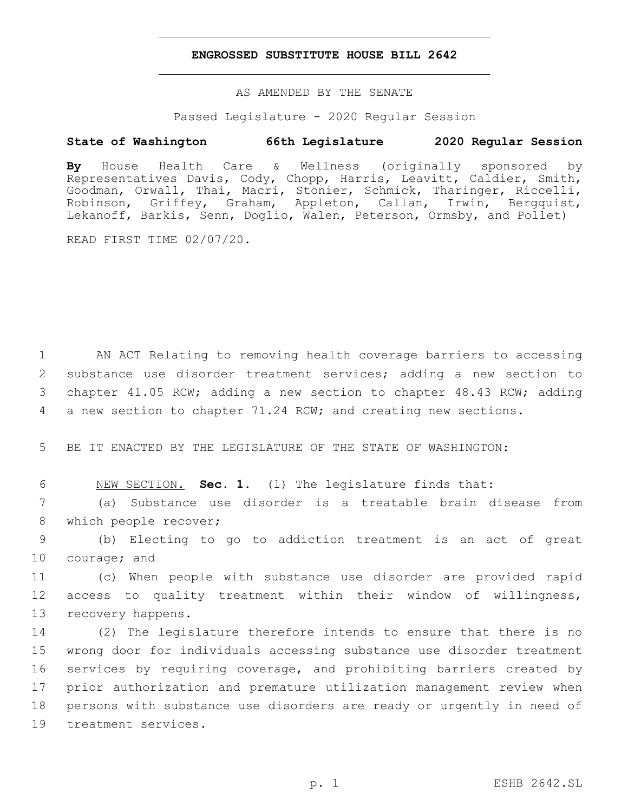## **ENGROSSED SUBSTITUTE HOUSE BILL 2642**

AS AMENDED BY THE SENATE

Passed Legislature - 2020 Regular Session

# **State of Washington 66th Legislature 2020 Regular Session**

**By** House Health Care & Wellness (originally sponsored by Representatives Davis, Cody, Chopp, Harris, Leavitt, Caldier, Smith, Goodman, Orwall, Thai, Macri, Stonier, Schmick, Tharinger, Riccelli, Robinson, Griffey, Graham, Appleton, Callan, Irwin, Bergquist, Lekanoff, Barkis, Senn, Doglio, Walen, Peterson, Ormsby, and Pollet)

READ FIRST TIME 02/07/20.

 AN ACT Relating to removing health coverage barriers to accessing substance use disorder treatment services; adding a new section to chapter 41.05 RCW; adding a new section to chapter 48.43 RCW; adding a new section to chapter 71.24 RCW; and creating new sections.

5 BE IT ENACTED BY THE LEGISLATURE OF THE STATE OF WASHINGTON:

6 NEW SECTION. **Sec. 1.** (1) The legislature finds that:

7 (a) Substance use disorder is a treatable brain disease from 8 which people recover;

9 (b) Electing to go to addiction treatment is an act of great 10 courage; and

11 (c) When people with substance use disorder are provided rapid 12 access to quality treatment within their window of willingness, 13 recovery happens.

 (2) The legislature therefore intends to ensure that there is no wrong door for individuals accessing substance use disorder treatment services by requiring coverage, and prohibiting barriers created by prior authorization and premature utilization management review when persons with substance use disorders are ready or urgently in need of 19 treatment services.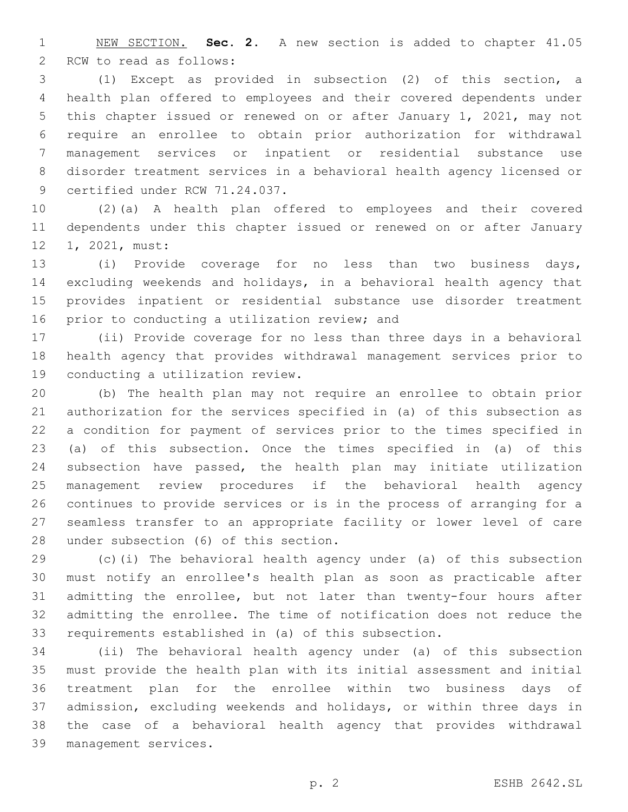NEW SECTION. **Sec. 2.** A new section is added to chapter 41.05 2 RCW to read as follows:

 (1) Except as provided in subsection (2) of this section, a health plan offered to employees and their covered dependents under this chapter issued or renewed on or after January 1, 2021, may not require an enrollee to obtain prior authorization for withdrawal management services or inpatient or residential substance use disorder treatment services in a behavioral health agency licensed or 9 certified under RCW 71.24.037.

 (2)(a) A health plan offered to employees and their covered dependents under this chapter issued or renewed on or after January 12 1, 2021, must:

 (i) Provide coverage for no less than two business days, excluding weekends and holidays, in a behavioral health agency that provides inpatient or residential substance use disorder treatment 16 prior to conducting a utilization review; and

 (ii) Provide coverage for no less than three days in a behavioral health agency that provides withdrawal management services prior to 19 conducting a utilization review.

 (b) The health plan may not require an enrollee to obtain prior authorization for the services specified in (a) of this subsection as a condition for payment of services prior to the times specified in (a) of this subsection. Once the times specified in (a) of this subsection have passed, the health plan may initiate utilization management review procedures if the behavioral health agency continues to provide services or is in the process of arranging for a seamless transfer to an appropriate facility or lower level of care 28 under subsection (6) of this section.

 (c)(i) The behavioral health agency under (a) of this subsection must notify an enrollee's health plan as soon as practicable after admitting the enrollee, but not later than twenty-four hours after admitting the enrollee. The time of notification does not reduce the requirements established in (a) of this subsection.

 (ii) The behavioral health agency under (a) of this subsection must provide the health plan with its initial assessment and initial treatment plan for the enrollee within two business days of admission, excluding weekends and holidays, or within three days in the case of a behavioral health agency that provides withdrawal management services.39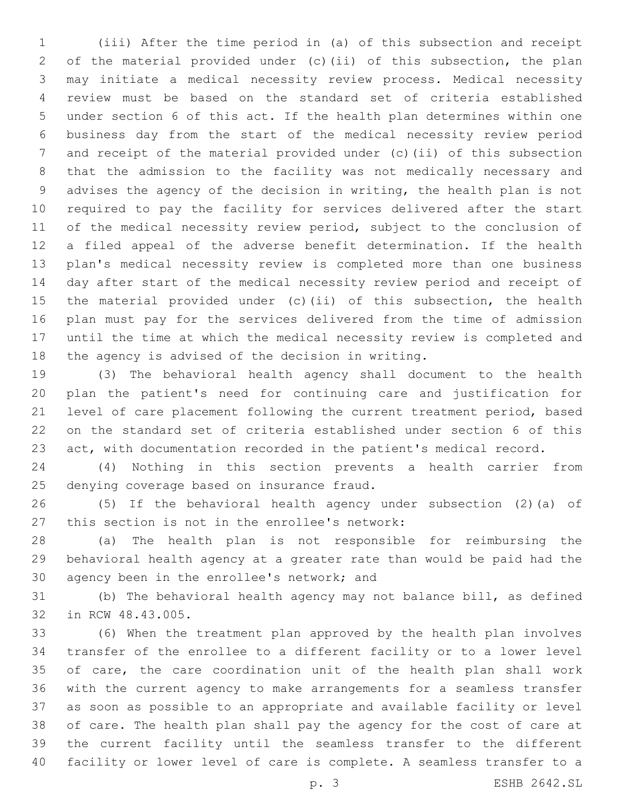(iii) After the time period in (a) of this subsection and receipt of the material provided under (c)(ii) of this subsection, the plan may initiate a medical necessity review process. Medical necessity review must be based on the standard set of criteria established under section 6 of this act. If the health plan determines within one business day from the start of the medical necessity review period and receipt of the material provided under (c)(ii) of this subsection that the admission to the facility was not medically necessary and advises the agency of the decision in writing, the health plan is not required to pay the facility for services delivered after the start of the medical necessity review period, subject to the conclusion of a filed appeal of the adverse benefit determination. If the health plan's medical necessity review is completed more than one business day after start of the medical necessity review period and receipt of the material provided under (c)(ii) of this subsection, the health plan must pay for the services delivered from the time of admission until the time at which the medical necessity review is completed and 18 the agency is advised of the decision in writing.

 (3) The behavioral health agency shall document to the health plan the patient's need for continuing care and justification for level of care placement following the current treatment period, based on the standard set of criteria established under section 6 of this act, with documentation recorded in the patient's medical record.

 (4) Nothing in this section prevents a health carrier from 25 denying coverage based on insurance fraud.

 (5) If the behavioral health agency under subsection (2)(a) of 27 this section is not in the enrollee's network:

 (a) The health plan is not responsible for reimbursing the behavioral health agency at a greater rate than would be paid had the 30 agency been in the enrollee's network; and

 (b) The behavioral health agency may not balance bill, as defined 32 in RCW 48.43.005.

 (6) When the treatment plan approved by the health plan involves transfer of the enrollee to a different facility or to a lower level of care, the care coordination unit of the health plan shall work with the current agency to make arrangements for a seamless transfer as soon as possible to an appropriate and available facility or level of care. The health plan shall pay the agency for the cost of care at the current facility until the seamless transfer to the different facility or lower level of care is complete. A seamless transfer to a

p. 3 ESHB 2642.SL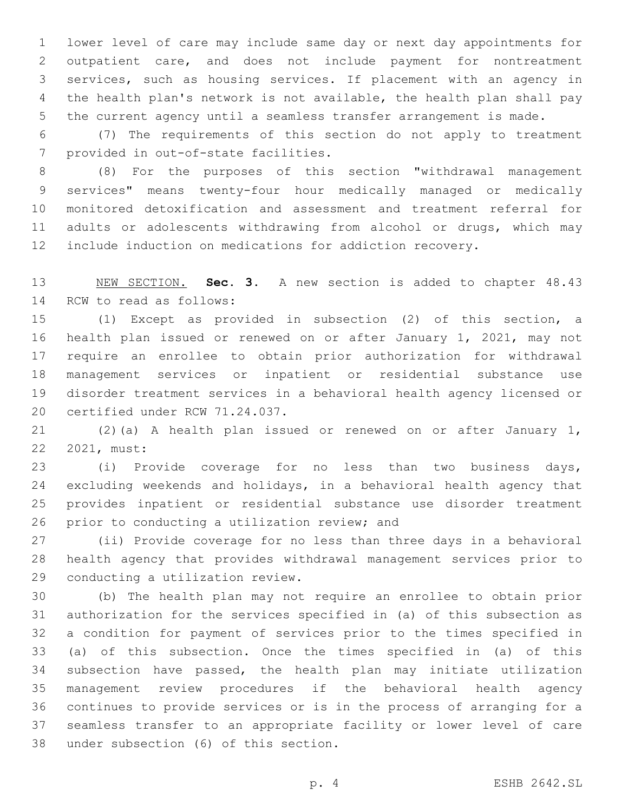lower level of care may include same day or next day appointments for outpatient care, and does not include payment for nontreatment services, such as housing services. If placement with an agency in the health plan's network is not available, the health plan shall pay the current agency until a seamless transfer arrangement is made.

 (7) The requirements of this section do not apply to treatment 7 provided in out-of-state facilities.

 (8) For the purposes of this section "withdrawal management services" means twenty-four hour medically managed or medically monitored detoxification and assessment and treatment referral for 11 adults or adolescents withdrawing from alcohol or drugs, which may include induction on medications for addiction recovery.

 NEW SECTION. **Sec. 3.** A new section is added to chapter 48.43 14 RCW to read as follows:

 (1) Except as provided in subsection (2) of this section, a health plan issued or renewed on or after January 1, 2021, may not require an enrollee to obtain prior authorization for withdrawal management services or inpatient or residential substance use disorder treatment services in a behavioral health agency licensed or 20 certified under RCW 71.24.037.

 (2)(a) A health plan issued or renewed on or after January 1, 22 2021, must:

 (i) Provide coverage for no less than two business days, excluding weekends and holidays, in a behavioral health agency that provides inpatient or residential substance use disorder treatment 26 prior to conducting a utilization review; and

 (ii) Provide coverage for no less than three days in a behavioral health agency that provides withdrawal management services prior to 29 conducting a utilization review.

 (b) The health plan may not require an enrollee to obtain prior authorization for the services specified in (a) of this subsection as a condition for payment of services prior to the times specified in (a) of this subsection. Once the times specified in (a) of this subsection have passed, the health plan may initiate utilization management review procedures if the behavioral health agency continues to provide services or is in the process of arranging for a seamless transfer to an appropriate facility or lower level of care 38 under subsection (6) of this section.

p. 4 ESHB 2642.SL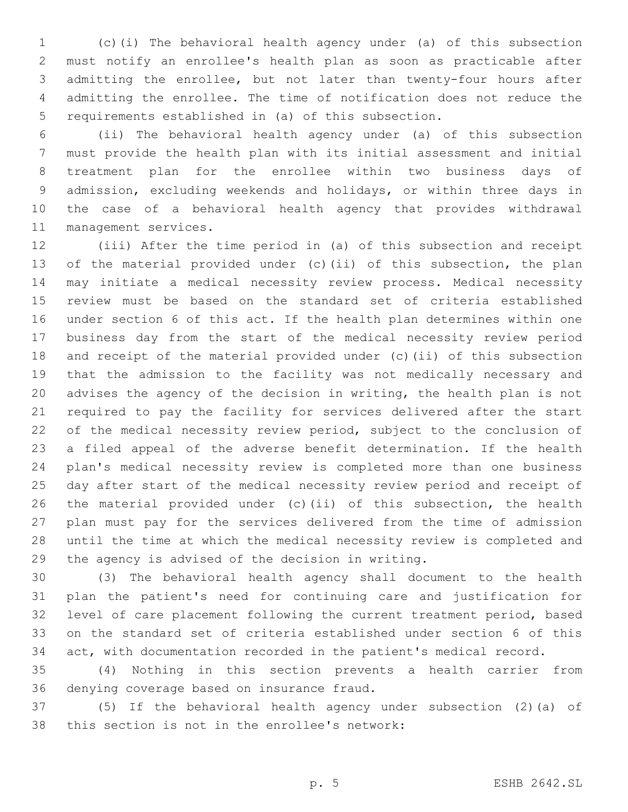(c)(i) The behavioral health agency under (a) of this subsection must notify an enrollee's health plan as soon as practicable after admitting the enrollee, but not later than twenty-four hours after admitting the enrollee. The time of notification does not reduce the requirements established in (a) of this subsection.

 (ii) The behavioral health agency under (a) of this subsection must provide the health plan with its initial assessment and initial treatment plan for the enrollee within two business days of admission, excluding weekends and holidays, or within three days in the case of a behavioral health agency that provides withdrawal 11 management services.

 (iii) After the time period in (a) of this subsection and receipt of the material provided under (c)(ii) of this subsection, the plan may initiate a medical necessity review process. Medical necessity review must be based on the standard set of criteria established under section 6 of this act. If the health plan determines within one business day from the start of the medical necessity review period and receipt of the material provided under (c)(ii) of this subsection that the admission to the facility was not medically necessary and advises the agency of the decision in writing, the health plan is not required to pay the facility for services delivered after the start of the medical necessity review period, subject to the conclusion of a filed appeal of the adverse benefit determination. If the health plan's medical necessity review is completed more than one business day after start of the medical necessity review period and receipt of the material provided under (c)(ii) of this subsection, the health plan must pay for the services delivered from the time of admission until the time at which the medical necessity review is completed and 29 the agency is advised of the decision in writing.

 (3) The behavioral health agency shall document to the health plan the patient's need for continuing care and justification for level of care placement following the current treatment period, based on the standard set of criteria established under section 6 of this act, with documentation recorded in the patient's medical record.

 (4) Nothing in this section prevents a health carrier from 36 denying coverage based on insurance fraud.

 (5) If the behavioral health agency under subsection (2)(a) of 38 this section is not in the enrollee's network: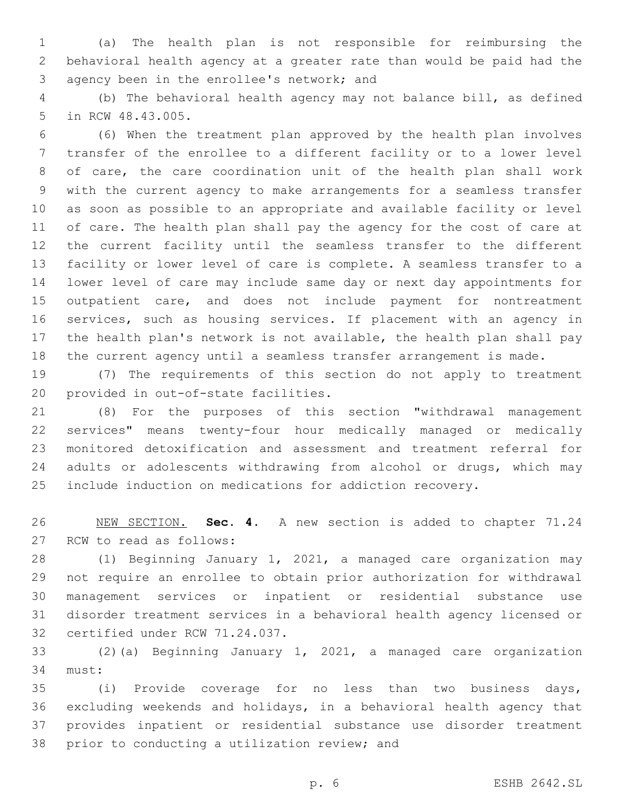(a) The health plan is not responsible for reimbursing the behavioral health agency at a greater rate than would be paid had the 3 agency been in the enrollee's network; and

 (b) The behavioral health agency may not balance bill, as defined 5 in RCW 48.43.005.

 (6) When the treatment plan approved by the health plan involves transfer of the enrollee to a different facility or to a lower level of care, the care coordination unit of the health plan shall work with the current agency to make arrangements for a seamless transfer as soon as possible to an appropriate and available facility or level of care. The health plan shall pay the agency for the cost of care at the current facility until the seamless transfer to the different facility or lower level of care is complete. A seamless transfer to a lower level of care may include same day or next day appointments for outpatient care, and does not include payment for nontreatment services, such as housing services. If placement with an agency in the health plan's network is not available, the health plan shall pay the current agency until a seamless transfer arrangement is made.

 (7) The requirements of this section do not apply to treatment 20 provided in out-of-state facilities.

 (8) For the purposes of this section "withdrawal management services" means twenty-four hour medically managed or medically monitored detoxification and assessment and treatment referral for 24 adults or adolescents withdrawing from alcohol or drugs, which may include induction on medications for addiction recovery.

 NEW SECTION. **Sec. 4.** A new section is added to chapter 71.24 27 RCW to read as follows:

 (1) Beginning January 1, 2021, a managed care organization may not require an enrollee to obtain prior authorization for withdrawal management services or inpatient or residential substance use disorder treatment services in a behavioral health agency licensed or 32 certified under RCW 71.24.037.

 (2)(a) Beginning January 1, 2021, a managed care organization 34 must:

 (i) Provide coverage for no less than two business days, excluding weekends and holidays, in a behavioral health agency that provides inpatient or residential substance use disorder treatment 38 prior to conducting a utilization review; and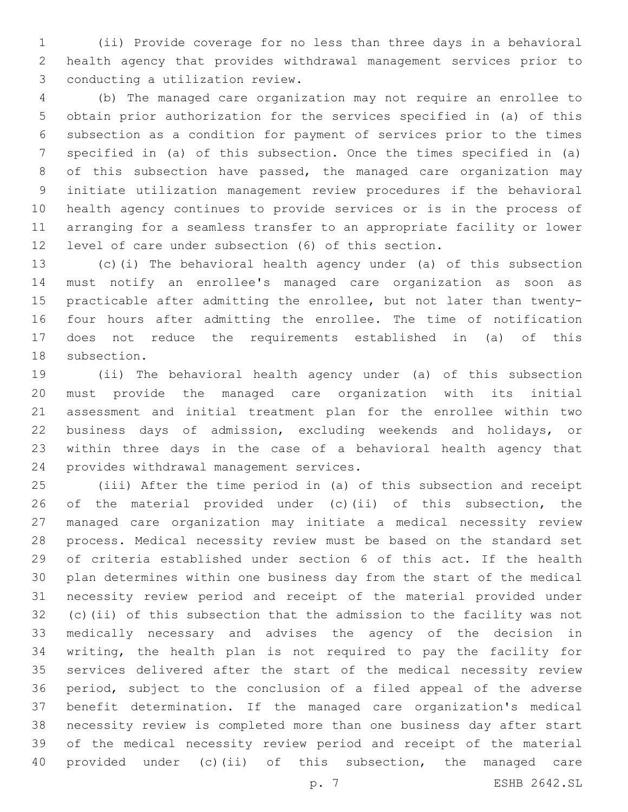(ii) Provide coverage for no less than three days in a behavioral health agency that provides withdrawal management services prior to 3 conducting a utilization review.

 (b) The managed care organization may not require an enrollee to obtain prior authorization for the services specified in (a) of this subsection as a condition for payment of services prior to the times specified in (a) of this subsection. Once the times specified in (a) of this subsection have passed, the managed care organization may initiate utilization management review procedures if the behavioral health agency continues to provide services or is in the process of arranging for a seamless transfer to an appropriate facility or lower level of care under subsection (6) of this section.

 (c)(i) The behavioral health agency under (a) of this subsection must notify an enrollee's managed care organization as soon as practicable after admitting the enrollee, but not later than twenty- four hours after admitting the enrollee. The time of notification does not reduce the requirements established in (a) of this 18 subsection.

 (ii) The behavioral health agency under (a) of this subsection must provide the managed care organization with its initial assessment and initial treatment plan for the enrollee within two business days of admission, excluding weekends and holidays, or within three days in the case of a behavioral health agency that 24 provides withdrawal management services.

 (iii) After the time period in (a) of this subsection and receipt of the material provided under (c)(ii) of this subsection, the managed care organization may initiate a medical necessity review process. Medical necessity review must be based on the standard set of criteria established under section 6 of this act. If the health plan determines within one business day from the start of the medical necessity review period and receipt of the material provided under (c)(ii) of this subsection that the admission to the facility was not medically necessary and advises the agency of the decision in writing, the health plan is not required to pay the facility for services delivered after the start of the medical necessity review period, subject to the conclusion of a filed appeal of the adverse benefit determination. If the managed care organization's medical necessity review is completed more than one business day after start of the medical necessity review period and receipt of the material provided under (c)(ii) of this subsection, the managed care

p. 7 ESHB 2642.SL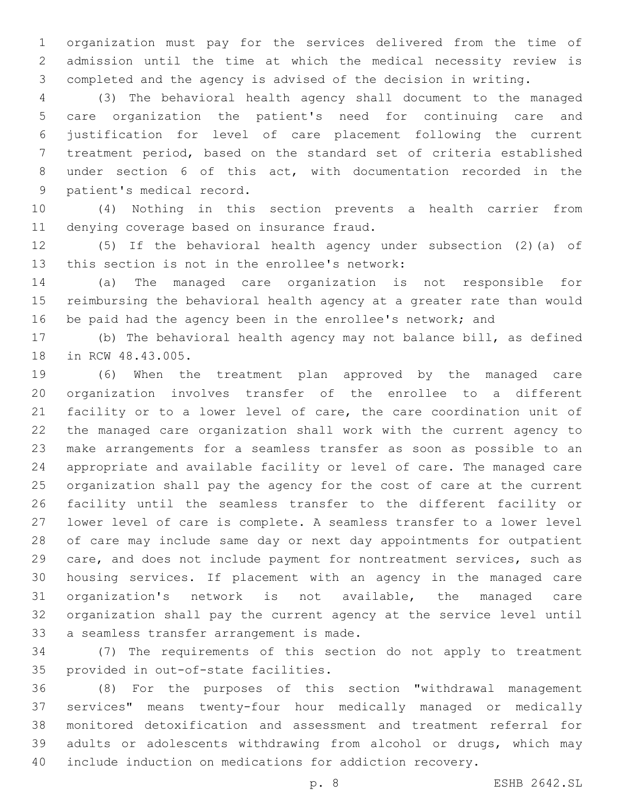organization must pay for the services delivered from the time of admission until the time at which the medical necessity review is completed and the agency is advised of the decision in writing.

 (3) The behavioral health agency shall document to the managed care organization the patient's need for continuing care and justification for level of care placement following the current treatment period, based on the standard set of criteria established under section 6 of this act, with documentation recorded in the 9 patient's medical record.

 (4) Nothing in this section prevents a health carrier from 11 denying coverage based on insurance fraud.

 (5) If the behavioral health agency under subsection (2)(a) of 13 this section is not in the enrollee's network:

 (a) The managed care organization is not responsible for reimbursing the behavioral health agency at a greater rate than would 16 be paid had the agency been in the enrollee's network; and

 (b) The behavioral health agency may not balance bill, as defined 18 in RCW 48.43.005.

 (6) When the treatment plan approved by the managed care organization involves transfer of the enrollee to a different facility or to a lower level of care, the care coordination unit of the managed care organization shall work with the current agency to make arrangements for a seamless transfer as soon as possible to an appropriate and available facility or level of care. The managed care organization shall pay the agency for the cost of care at the current facility until the seamless transfer to the different facility or lower level of care is complete. A seamless transfer to a lower level of care may include same day or next day appointments for outpatient care, and does not include payment for nontreatment services, such as housing services. If placement with an agency in the managed care organization's network is not available, the managed care organization shall pay the current agency at the service level until 33 a seamless transfer arrangement is made.

 (7) The requirements of this section do not apply to treatment 35 provided in out-of-state facilities.

 (8) For the purposes of this section "withdrawal management services" means twenty-four hour medically managed or medically monitored detoxification and assessment and treatment referral for adults or adolescents withdrawing from alcohol or drugs, which may include induction on medications for addiction recovery.

p. 8 ESHB 2642.SL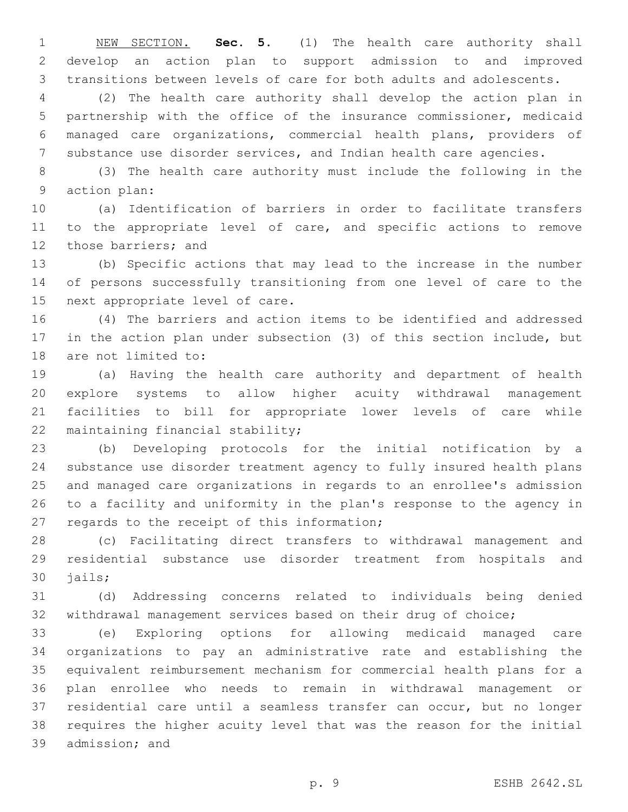NEW SECTION. **Sec. 5.** (1) The health care authority shall develop an action plan to support admission to and improved transitions between levels of care for both adults and adolescents.

 (2) The health care authority shall develop the action plan in partnership with the office of the insurance commissioner, medicaid managed care organizations, commercial health plans, providers of substance use disorder services, and Indian health care agencies.

 (3) The health care authority must include the following in the 9 action plan:

 (a) Identification of barriers in order to facilitate transfers 11 to the appropriate level of care, and specific actions to remove 12 those barriers; and

 (b) Specific actions that may lead to the increase in the number of persons successfully transitioning from one level of care to the 15 next appropriate level of care.

 (4) The barriers and action items to be identified and addressed in the action plan under subsection (3) of this section include, but 18 are not limited to:

 (a) Having the health care authority and department of health explore systems to allow higher acuity withdrawal management facilities to bill for appropriate lower levels of care while 22 maintaining financial stability;

 (b) Developing protocols for the initial notification by a substance use disorder treatment agency to fully insured health plans and managed care organizations in regards to an enrollee's admission to a facility and uniformity in the plan's response to the agency in 27 regards to the receipt of this information;

 (c) Facilitating direct transfers to withdrawal management and residential substance use disorder treatment from hospitals and 30 jails;

 (d) Addressing concerns related to individuals being denied withdrawal management services based on their drug of choice;

 (e) Exploring options for allowing medicaid managed care organizations to pay an administrative rate and establishing the equivalent reimbursement mechanism for commercial health plans for a plan enrollee who needs to remain in withdrawal management or residential care until a seamless transfer can occur, but no longer requires the higher acuity level that was the reason for the initial 39 admission; and